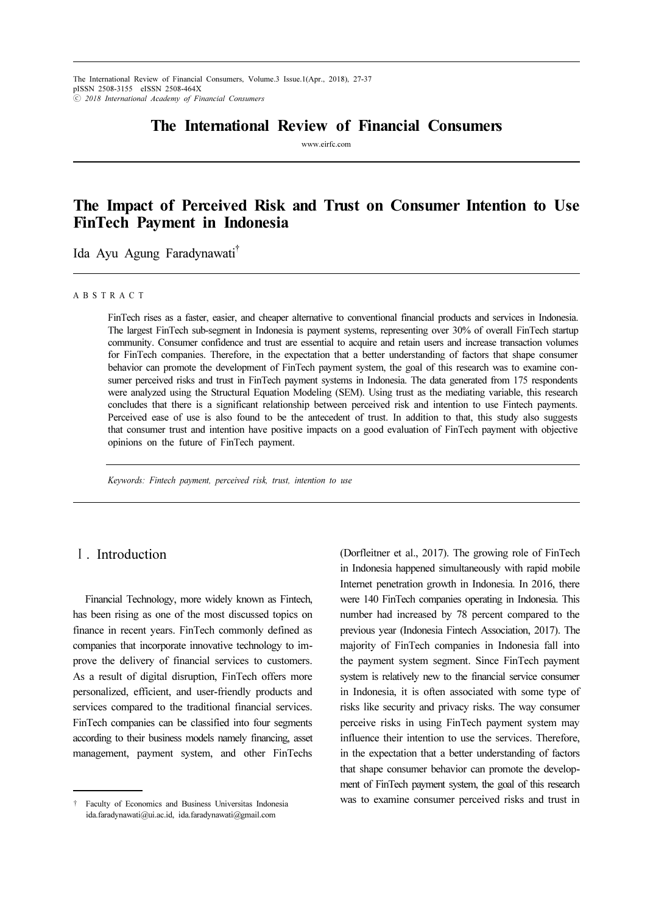## The International Review of Financial Consumers

www.eirfc.com

# The Impact of Perceived Risk and Trust on Consumer Intention to Use FinTech Payment in Indonesia

Ida Ayu Agung Faradynawati†

#### A B S T R A C T

FinTech rises as a faster, easier, and cheaper alternative to conventional financial products and services in Indonesia. The largest FinTech sub-segment in Indonesia is payment systems, representing over 30% of overall FinTech startup community. Consumer confidence and trust are essential to acquire and retain users and increase transaction volumes for FinTech companies. Therefore, in the expectation that a better understanding of factors that shape consumer behavior can promote the development of FinTech payment system, the goal of this research was to examine consumer perceived risks and trust in FinTech payment systems in Indonesia. The data generated from 175 respondents were analyzed using the Structural Equation Modeling (SEM). Using trust as the mediating variable, this research concludes that there is a significant relationship between perceived risk and intention to use Fintech payments. Perceived ease of use is also found to be the antecedent of trust. In addition to that, this study also suggests that consumer trust and intention have positive impacts on a good evaluation of FinTech payment with objective opinions on the future of FinTech payment.

Keywords: Fintech payment, perceived risk, trust, intention to use

### Ⅰ. Introduction

Financial Technology, more widely known as Fintech, has been rising as one of the most discussed topics on finance in recent years. FinTech commonly defined as companies that incorporate innovative technology to improve the delivery of financial services to customers. As a result of digital disruption, FinTech offers more personalized, efficient, and user-friendly products and services compared to the traditional financial services. FinTech companies can be classified into four segments according to their business models namely financing, asset management, payment system, and other FinTechs (Dorfleitner et al., 2017). The growing role of FinTech in Indonesia happened simultaneously with rapid mobile Internet penetration growth in Indonesia. In 2016, there were 140 FinTech companies operating in Indonesia. This number had increased by 78 percent compared to the previous year (Indonesia Fintech Association, 2017). The majority of FinTech companies in Indonesia fall into the payment system segment. Since FinTech payment system is relatively new to the financial service consumer in Indonesia, it is often associated with some type of risks like security and privacy risks. The way consumer perceive risks in using FinTech payment system may influence their intention to use the services. Therefore, in the expectation that a better understanding of factors that shape consumer behavior can promote the development of FinTech payment system, the goal of this research was to examine consumer perceived risks and trust in

<sup>†</sup> Faculty of Economics and Business Universitas Indonesia ida.faradynawati@ui.ac.id, ida.faradynawati@gmail.com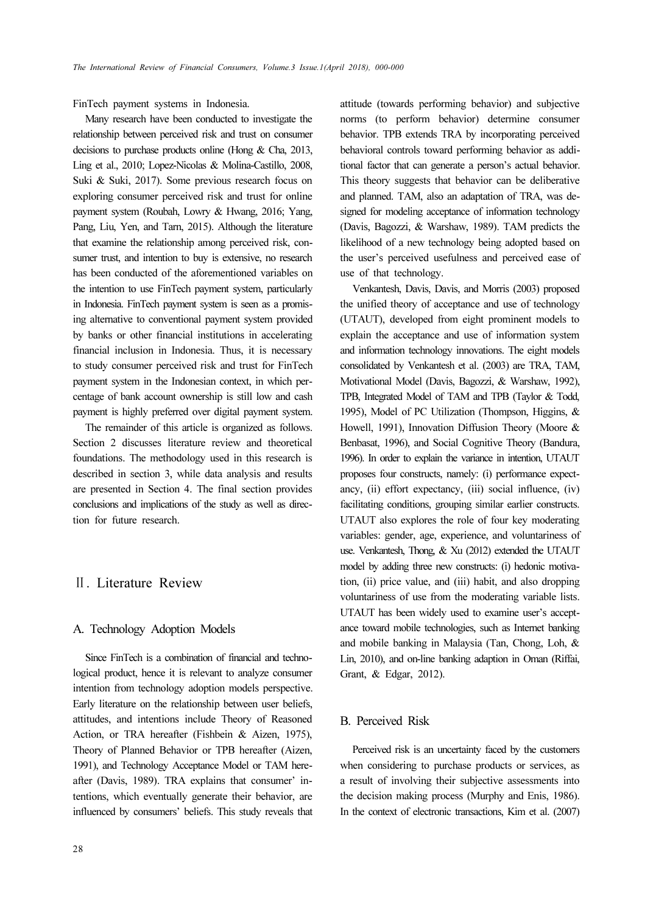FinTech payment systems in Indonesia.

Many research have been conducted to investigate the relationship between perceived risk and trust on consumer decisions to purchase products online (Hong & Cha, 2013, Ling et al., 2010; Lopez-Nicolas & Molina-Castillo, 2008, Suki & Suki, 2017). Some previous research focus on exploring consumer perceived risk and trust for online payment system (Roubah, Lowry & Hwang, 2016; Yang, Pang, Liu, Yen, and Tarn, 2015). Although the literature that examine the relationship among perceived risk, consumer trust, and intention to buy is extensive, no research has been conducted of the aforementioned variables on the intention to use FinTech payment system, particularly in Indonesia. FinTech payment system is seen as a promising alternative to conventional payment system provided by banks or other financial institutions in accelerating financial inclusion in Indonesia. Thus, it is necessary to study consumer perceived risk and trust for FinTech payment system in the Indonesian context, in which percentage of bank account ownership is still low and cash payment is highly preferred over digital payment system.

The remainder of this article is organized as follows. Section 2 discusses literature review and theoretical foundations. The methodology used in this research is described in section 3, while data analysis and results are presented in Section 4. The final section provides conclusions and implications of the study as well as direction for future research.

### Ⅱ. Literature Review

### A. Technology Adoption Models

Since FinTech is a combination of financial and technological product, hence it is relevant to analyze consumer intention from technology adoption models perspective. Early literature on the relationship between user beliefs, attitudes, and intentions include Theory of Reasoned Action, or TRA hereafter (Fishbein & Aizen, 1975), Theory of Planned Behavior or TPB hereafter (Aizen, 1991), and Technology Acceptance Model or TAM hereafter (Davis, 1989). TRA explains that consumer' intentions, which eventually generate their behavior, are influenced by consumers' beliefs. This study reveals that attitude (towards performing behavior) and subjective norms (to perform behavior) determine consumer behavior. TPB extends TRA by incorporating perceived behavioral controls toward performing behavior as additional factor that can generate a person's actual behavior. This theory suggests that behavior can be deliberative and planned. TAM, also an adaptation of TRA, was designed for modeling acceptance of information technology (Davis, Bagozzi, & Warshaw, 1989). TAM predicts the likelihood of a new technology being adopted based on the user's perceived usefulness and perceived ease of use of that technology.

Venkantesh, Davis, Davis, and Morris (2003) proposed the unified theory of acceptance and use of technology (UTAUT), developed from eight prominent models to explain the acceptance and use of information system and information technology innovations. The eight models consolidated by Venkantesh et al. (2003) are TRA, TAM, Motivational Model (Davis, Bagozzi, & Warshaw, 1992), TPB, Integrated Model of TAM and TPB (Taylor & Todd, 1995), Model of PC Utilization (Thompson, Higgins, & Howell, 1991), Innovation Diffusion Theory (Moore & Benbasat, 1996), and Social Cognitive Theory (Bandura, 1996). In order to explain the variance in intention, UTAUT proposes four constructs, namely: (i) performance expectancy, (ii) effort expectancy, (iii) social influence, (iv) facilitating conditions, grouping similar earlier constructs. UTAUT also explores the role of four key moderating variables: gender, age, experience, and voluntariness of use. Venkantesh, Thong, & Xu (2012) extended the UTAUT model by adding three new constructs: (i) hedonic motivation, (ii) price value, and (iii) habit, and also dropping voluntariness of use from the moderating variable lists. UTAUT has been widely used to examine user's acceptance toward mobile technologies, such as Internet banking and mobile banking in Malaysia (Tan, Chong, Loh, & Lin, 2010), and on-line banking adaption in Oman (Riffai, Grant, & Edgar, 2012).

#### B. Perceived Risk

Perceived risk is an uncertainty faced by the customers when considering to purchase products or services, as a result of involving their subjective assessments into the decision making process (Murphy and Enis, 1986). In the context of electronic transactions, Kim et al. (2007)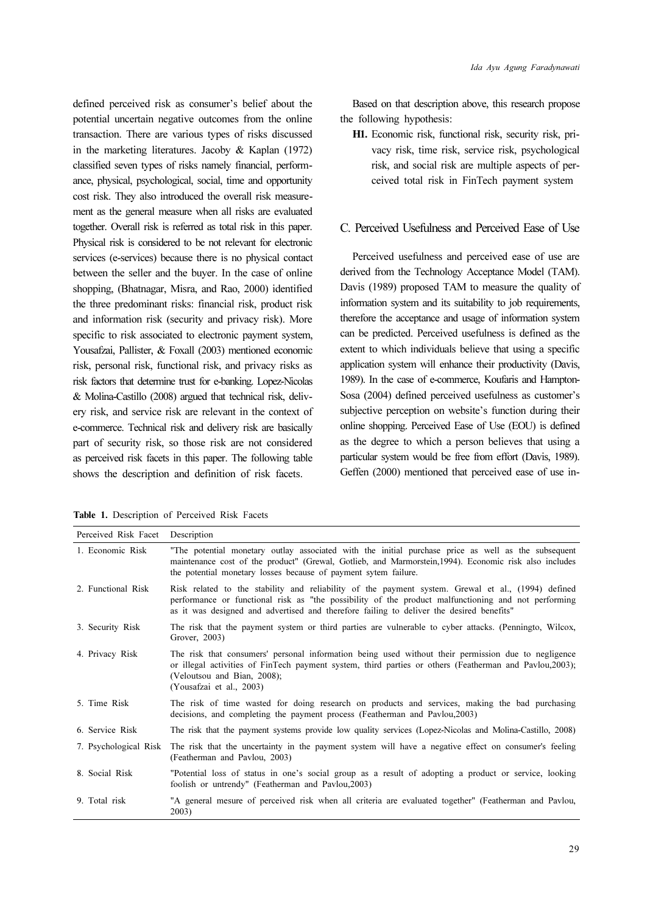defined perceived risk as consumer's belief about the potential uncertain negative outcomes from the online transaction. There are various types of risks discussed in the marketing literatures. Jacoby & Kaplan (1972) classified seven types of risks namely financial, performance, physical, psychological, social, time and opportunity cost risk. They also introduced the overall risk measurement as the general measure when all risks are evaluated together. Overall risk is referred as total risk in this paper. Physical risk is considered to be not relevant for electronic services (e-services) because there is no physical contact between the seller and the buyer. In the case of online shopping, (Bhatnagar, Misra, and Rao, 2000) identified the three predominant risks: financial risk, product risk and information risk (security and privacy risk). More specific to risk associated to electronic payment system, Yousafzai, Pallister, & Foxall (2003) mentioned economic risk, personal risk, functional risk, and privacy risks as risk factors that determine trust for e-banking. Lopez-Nicolas & Molina-Castillo (2008) argued that technical risk, delivery risk, and service risk are relevant in the context of e-commerce. Technical risk and delivery risk are basically part of security risk, so those risk are not considered as perceived risk facets in this paper. The following table shows the description and definition of risk facets.

Table 1. Description of Perceived Risk Facets

Based on that description above, this research propose the following hypothesis:

H1. Economic risk, functional risk, security risk, privacy risk, time risk, service risk, psychological risk, and social risk are multiple aspects of perceived total risk in FinTech payment system

#### C. Perceived Usefulness and Perceived Ease of Use

Perceived usefulness and perceived ease of use are derived from the Technology Acceptance Model (TAM). Davis (1989) proposed TAM to measure the quality of information system and its suitability to job requirements, therefore the acceptance and usage of information system can be predicted. Perceived usefulness is defined as the extent to which individuals believe that using a specific application system will enhance their productivity (Davis, 1989). In the case of e-commerce, Koufaris and Hampton-Sosa (2004) defined perceived usefulness as customer's subjective perception on website's function during their online shopping. Perceived Ease of Use (EOU) is defined as the degree to which a person believes that using a particular system would be free from effort (Davis, 1989). Geffen (2000) mentioned that perceived ease of use in-

| Perceived Risk Facet  | Description                                                                                                                                                                                                                                                                                           |
|-----------------------|-------------------------------------------------------------------------------------------------------------------------------------------------------------------------------------------------------------------------------------------------------------------------------------------------------|
| 1. Economic Risk      | "The potential monetary outlay associated with the initial purchase price as well as the subsequent<br>maintenance cost of the product" (Grewal, Gotlieb, and Marmorstein, 1994). Economic risk also includes<br>the potential monetary losses because of payment sytem failure.                      |
| 2. Functional Risk    | Risk related to the stability and reliability of the payment system. Grewal et al., (1994) defined<br>performance or functional risk as "the possibility of the product malfunctioning and not performing<br>as it was designed and advertised and therefore failing to deliver the desired benefits" |
| 3. Security Risk      | The risk that the payment system or third parties are vulnerable to cyber attacks. (Penningto, Wilcox,<br>Grover, 2003)                                                                                                                                                                               |
| 4. Privacy Risk       | The risk that consumers' personal information being used without their permission due to negligence<br>or illegal activities of FinTech payment system, third parties or others (Featherman and Pavlou, 2003);<br>(Veloutsou and Bian, 2008);<br>(Yousafzai et al., 2003)                             |
| 5. Time Risk          | The risk of time wasted for doing research on products and services, making the bad purchasing<br>decisions, and completing the payment process (Featherman and Pavlou, 2003)                                                                                                                         |
| 6. Service Risk       | The risk that the payment systems provide low quality services (Lopez-Nicolas and Molina-Castillo, 2008)                                                                                                                                                                                              |
| 7. Psychological Risk | The risk that the uncertainty in the payment system will have a negative effect on consumer's feeling<br>(Featherman and Pavlou, 2003)                                                                                                                                                                |
| 8. Social Risk        | "Potential loss of status in one's social group as a result of adopting a product or service, looking<br>foolish or untrendy" (Featherman and Pavlou, 2003)                                                                                                                                           |
| 9. Total risk         | "A general mesure of perceived risk when all criteria are evaluated together" (Featherman and Pavlou,<br>2003)                                                                                                                                                                                        |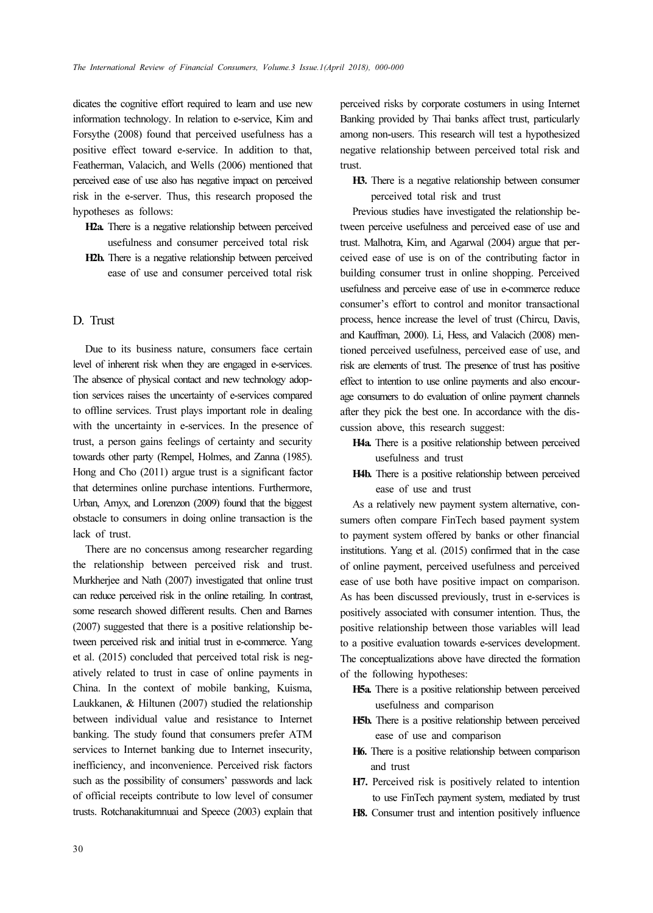dicates the cognitive effort required to learn and use new information technology. In relation to e-service, Kim and Forsythe (2008) found that perceived usefulness has a positive effect toward e-service. In addition to that, Featherman, Valacich, and Wells (2006) mentioned that perceived ease of use also has negative impact on perceived risk in the e-server. Thus, this research proposed the hypotheses as follows:

- H2a. There is a negative relationship between perceived usefulness and consumer perceived total risk
- H2b. There is a negative relationship between perceived ease of use and consumer perceived total risk

#### D. Trust

Due to its business nature, consumers face certain level of inherent risk when they are engaged in e-services. The absence of physical contact and new technology adoption services raises the uncertainty of e-services compared to offline services. Trust plays important role in dealing with the uncertainty in e-services. In the presence of trust, a person gains feelings of certainty and security towards other party (Rempel, Holmes, and Zanna (1985). Hong and Cho (2011) argue trust is a significant factor that determines online purchase intentions. Furthermore, Urban, Amyx, and Lorenzon (2009) found that the biggest obstacle to consumers in doing online transaction is the lack of trust.

There are no concensus among researcher regarding the relationship between perceived risk and trust. Murkherjee and Nath (2007) investigated that online trust can reduce perceived risk in the online retailing. In contrast, some research showed different results. Chen and Barnes (2007) suggested that there is a positive relationship between perceived risk and initial trust in e-commerce. Yang et al. (2015) concluded that perceived total risk is negatively related to trust in case of online payments in China. In the context of mobile banking, Kuisma, Laukkanen, & Hiltunen (2007) studied the relationship between individual value and resistance to Internet banking. The study found that consumers prefer ATM services to Internet banking due to Internet insecurity, inefficiency, and inconvenience. Perceived risk factors such as the possibility of consumers' passwords and lack of official receipts contribute to low level of consumer trusts. Rotchanakitumnuai and Speece (2003) explain that

perceived risks by corporate costumers in using Internet Banking provided by Thai banks affect trust, particularly among non-users. This research will test a hypothesized negative relationship between perceived total risk and trust.

H3. There is a negative relationship between consumer perceived total risk and trust

Previous studies have investigated the relationship between perceive usefulness and perceived ease of use and trust. Malhotra, Kim, and Agarwal (2004) argue that perceived ease of use is on of the contributing factor in building consumer trust in online shopping. Perceived usefulness and perceive ease of use in e-commerce reduce consumer's effort to control and monitor transactional process, hence increase the level of trust (Chircu, Davis, and Kauffman, 2000). Li, Hess, and Valacich (2008) mentioned perceived usefulness, perceived ease of use, and risk are elements of trust. The presence of trust has positive effect to intention to use online payments and also encourage consumers to do evaluation of online payment channels after they pick the best one. In accordance with the discussion above, this research suggest:

- H4a. There is a positive relationship between perceived usefulness and trust
- H4b. There is a positive relationship between perceived ease of use and trust

As a relatively new payment system alternative, consumers often compare FinTech based payment system to payment system offered by banks or other financial institutions. Yang et al. (2015) confirmed that in the case of online payment, perceived usefulness and perceived ease of use both have positive impact on comparison. As has been discussed previously, trust in e-services is positively associated with consumer intention. Thus, the positive relationship between those variables will lead to a positive evaluation towards e-services development. The conceptualizations above have directed the formation of the following hypotheses:

- H5a. There is a positive relationship between perceived usefulness and comparison
- H5b. There is a positive relationship between perceived ease of use and comparison
- H6. There is a positive relationship between comparison and trust
- H7. Perceived risk is positively related to intention to use FinTech payment system, mediated by trust
- H8. Consumer trust and intention positively influence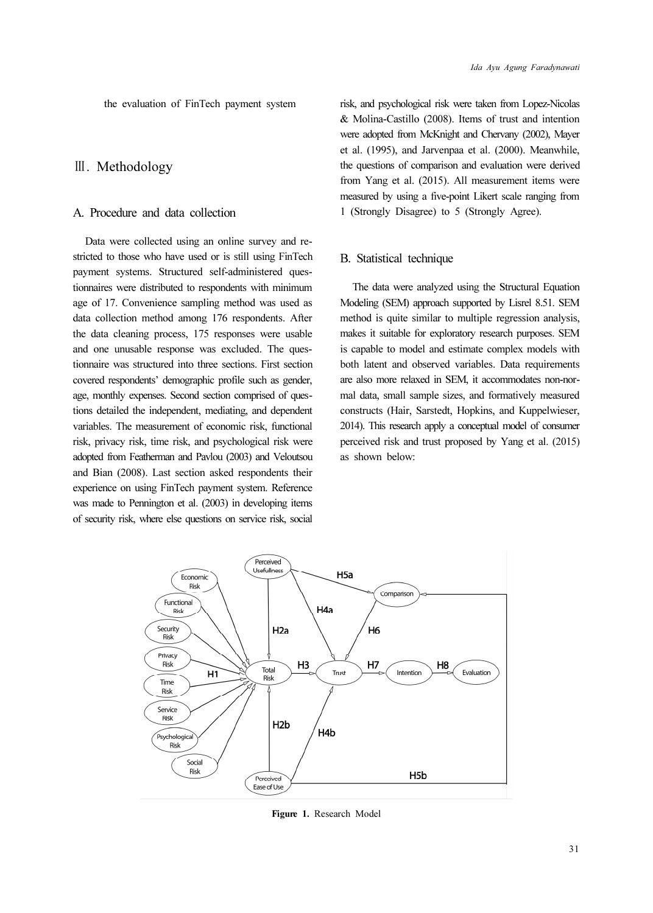the evaluation of FinTech payment system

### Ⅲ. Methodology

### A. Procedure and data collection

Data were collected using an online survey and restricted to those who have used or is still using FinTech payment systems. Structured self-administered questionnaires were distributed to respondents with minimum age of 17. Convenience sampling method was used as data collection method among 176 respondents. After the data cleaning process, 175 responses were usable and one unusable response was excluded. The questionnaire was structured into three sections. First section covered respondents' demographic profile such as gender, age, monthly expenses. Second section comprised of questions detailed the independent, mediating, and dependent variables. The measurement of economic risk, functional risk, privacy risk, time risk, and psychological risk were adopted from Featherman and Pavlou (2003) and Veloutsou and Bian (2008). Last section asked respondents their experience on using FinTech payment system. Reference was made to Pennington et al. (2003) in developing items of security risk, where else questions on service risk, social risk, and psychological risk were taken from Lopez-Nicolas & Molina-Castillo (2008). Items of trust and intention were adopted from McKnight and Chervany (2002), Mayer et al. (1995), and Jarvenpaa et al. (2000). Meanwhile, the questions of comparison and evaluation were derived from Yang et al. (2015). All measurement items were measured by using a five-point Likert scale ranging from 1 (Strongly Disagree) to 5 (Strongly Agree).

#### B. Statistical technique

The data were analyzed using the Structural Equation Modeling (SEM) approach supported by Lisrel 8.51. SEM method is quite similar to multiple regression analysis, makes it suitable for exploratory research purposes. SEM is capable to model and estimate complex models with both latent and observed variables. Data requirements are also more relaxed in SEM, it accommodates non-normal data, small sample sizes, and formatively measured constructs (Hair, Sarstedt, Hopkins, and Kuppelwieser, 2014). This research apply a conceptual model of consumer perceived risk and trust proposed by Yang et al. (2015) as shown below:



Figure 1. Research Model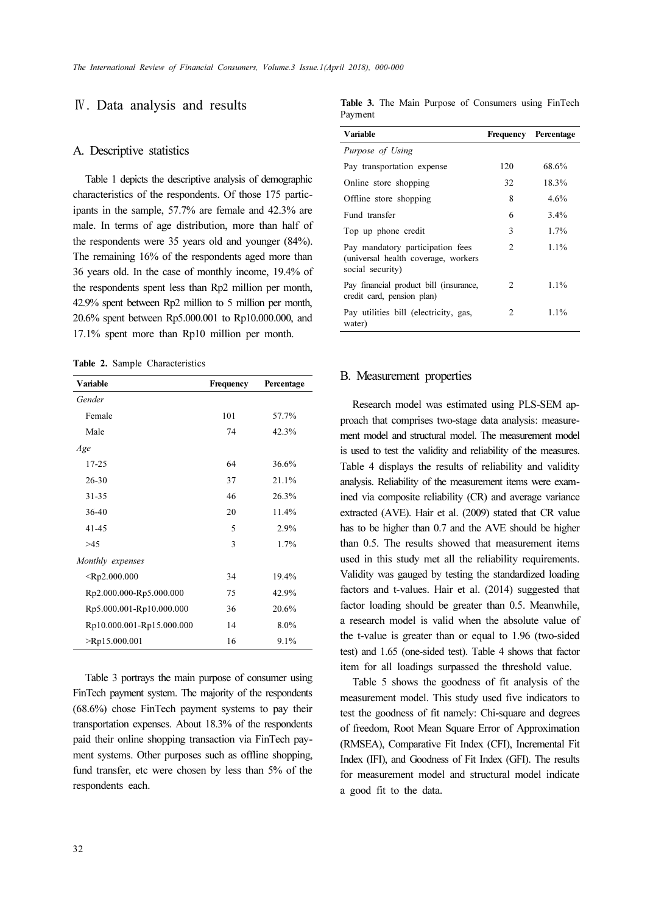### Ⅳ. Data analysis and results

#### A. Descriptive statistics

Table 1 depicts the descriptive analysis of demographic characteristics of the respondents. Of those 175 participants in the sample, 57.7% are female and 42.3% are male. In terms of age distribution, more than half of the respondents were 35 years old and younger (84%). The remaining 16% of the respondents aged more than 36 years old. In the case of monthly income, 19.4% of the respondents spent less than Rp2 million per month, 42.9% spent between Rp2 million to 5 million per month, 20.6% spent between Rp5.000.001 to Rp10.000.000, and 17.1% spent more than Rp10 million per month.

Table 2. Sample Characteristics

| Variable                  | Frequency | Percentage |
|---------------------------|-----------|------------|
| Gender                    |           |            |
| Female                    | 101       | 57.7%      |
| Male                      | 74        | 42.3%      |
| Age                       |           |            |
| $17 - 25$                 | 64        | 36.6%      |
| $26 - 30$                 | 37        | 21.1%      |
| 31-35                     | 46        | 26.3%      |
| $36-40$                   | 20        | 11.4%      |
| $41 - 45$                 | 5         | 2.9%       |
| >45                       | 3         | 1.7%       |
| Monthly expenses          |           |            |
| $<$ Rp2.000.000           | 34        | 19.4%      |
| Rp2.000.000-Rp5.000.000   | 75        | 42.9%      |
| Rp5.000.001-Rp10.000.000  | 36        | 20.6%      |
| Rp10.000.001-Rp15.000.000 | 14        | 8.0%       |
| $>$ Rp15.000.001          | 16        | 9.1%       |

Table 3 portrays the main purpose of consumer using FinTech payment system. The majority of the respondents (68.6%) chose FinTech payment systems to pay their transportation expenses. About 18.3% of the respondents paid their online shopping transaction via FinTech payment systems. Other purposes such as offline shopping, fund transfer, etc were chosen by less than 5% of the respondents each.

Table 3. The Main Purpose of Consumers using FinTech Payment

| Variable                                                                                    |                | <b>Frequency Percentage</b> |
|---------------------------------------------------------------------------------------------|----------------|-----------------------------|
| Purpose of Using                                                                            |                |                             |
| Pay transportation expense                                                                  | 120            | 68.6%                       |
| Online store shopping                                                                       | 32             | 18.3%                       |
| Offline store shopping                                                                      | 8              | 4.6%                        |
| Fund transfer                                                                               | 6              | 3.4%                        |
| Top up phone credit                                                                         | 3              | 1.7%                        |
| Pay mandatory participation fees<br>(universal health coverage, workers<br>social security) | 2              | $1.1\%$                     |
| Pay financial product bill (insurance,<br>credit card, pension plan)                        | $\mathfrak{D}$ | $1.1\%$                     |
| Pay utilities bill (electricity, gas,<br>water)                                             | 2              | $1.1\%$                     |

#### B. Measurement properties

Research model was estimated using PLS-SEM approach that comprises two-stage data analysis: measurement model and structural model. The measurement model is used to test the validity and reliability of the measures. Table 4 displays the results of reliability and validity analysis. Reliability of the measurement items were examined via composite reliability (CR) and average variance extracted (AVE). Hair et al. (2009) stated that CR value has to be higher than 0.7 and the AVE should be higher than 0.5. The results showed that measurement items used in this study met all the reliability requirements. Validity was gauged by testing the standardized loading factors and t-values. Hair et al. (2014) suggested that factor loading should be greater than 0.5. Meanwhile, a research model is valid when the absolute value of the t-value is greater than or equal to 1.96 (two-sided test) and 1.65 (one-sided test). Table 4 shows that factor item for all loadings surpassed the threshold value.

Table 5 shows the goodness of fit analysis of the measurement model. This study used five indicators to test the goodness of fit namely: Chi-square and degrees of freedom, Root Mean Square Error of Approximation (RMSEA), Comparative Fit Index (CFI), Incremental Fit Index (IFI), and Goodness of Fit Index (GFI). The results for measurement model and structural model indicate a good fit to the data.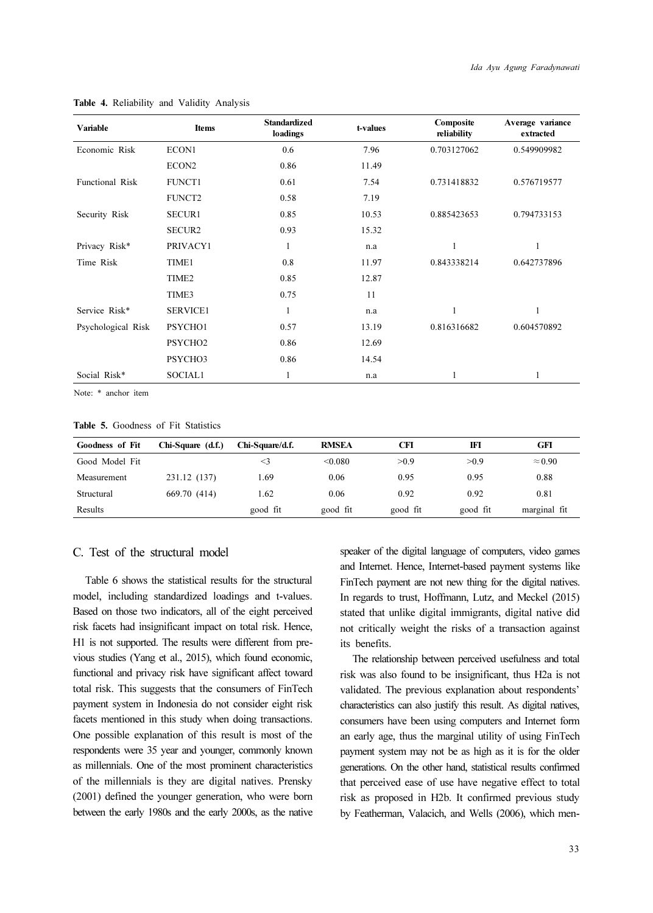| Variable           | <b>Items</b>        | <b>Standardized</b><br>loadings | t-values | Composite<br>reliability | Average variance<br>extracted |
|--------------------|---------------------|---------------------------------|----------|--------------------------|-------------------------------|
| Economic Risk      | ECON1               | 0.6                             | 7.96     | 0.703127062              | 0.549909982                   |
|                    | ECON2               | 0.86                            | 11.49    |                          |                               |
| Functional Risk    | <b>FUNCT1</b>       | 0.61                            | 7.54     | 0.731418832              | 0.576719577                   |
|                    | FUNCT2              | 0.58                            | 7.19     |                          |                               |
| Security Risk      | <b>SECUR1</b>       | 0.85                            | 10.53    | 0.885423653              | 0.794733153                   |
|                    | <b>SECUR2</b>       | 0.93                            | 15.32    |                          |                               |
| Privacy Risk*      | PRIVACY1            | 1                               | n.a      | 1                        | 1                             |
| Time Risk          | TIME1               | 0.8                             | 11.97    | 0.843338214              | 0.642737896                   |
|                    | TIME <sub>2</sub>   | 0.85                            | 12.87    |                          |                               |
|                    | TIME3               | 0.75                            | 11       |                          |                               |
| Service Risk*      | <b>SERVICE1</b>     | 1                               | n.a      | 1                        | 1                             |
| Psychological Risk | PSYCHO1             | 0.57                            | 13.19    | 0.816316682              | 0.604570892                   |
|                    | PSYCHO <sub>2</sub> | 0.86                            | 12.69    |                          |                               |
|                    | PSYCHO3             | 0.86                            | 14.54    |                          |                               |
| Social Risk*       | SOCIAL1             | 1                               | n.a      | 1                        |                               |

Table 4. Reliability and Validity Analysis

Note: \* anchor item

Table 5. Goodness of Fit Statistics

| <b>Goodness of Fit</b> | Chi-Square (d.f.) | Chi-Square/d.f. | <b>RMSEA</b> | CFI      | IFI      | GFI            |
|------------------------|-------------------|-----------------|--------------|----------|----------|----------------|
| Good Model Fit         |                   | $\leq$ 3        | < 0.080      | > 0.9    | > 0.9    | $\approx 0.90$ |
| Measurement            | 231.12 (137)      | 1.69            | 0.06         | 0.95     | 0.95     | 0.88           |
| Structural             | 669.70 (414)      | 1.62            | 0.06         | 0.92     | 0.92     | 0.81           |
| Results                |                   | good fit        | good fit     | good fit | good fit | marginal fit   |

### C. Test of the structural model

Table 6 shows the statistical results for the structural model, including standardized loadings and t-values. Based on those two indicators, all of the eight perceived risk facets had insignificant impact on total risk. Hence, H1 is not supported. The results were different from previous studies (Yang et al., 2015), which found economic, functional and privacy risk have significant affect toward total risk. This suggests that the consumers of FinTech payment system in Indonesia do not consider eight risk facets mentioned in this study when doing transactions. One possible explanation of this result is most of the respondents were 35 year and younger, commonly known as millennials. One of the most prominent characteristics of the millennials is they are digital natives. Prensky (2001) defined the younger generation, who were born between the early 1980s and the early 2000s, as the native speaker of the digital language of computers, video games and Internet. Hence, Internet-based payment systems like FinTech payment are not new thing for the digital natives. In regards to trust, Hoffmann, Lutz, and Meckel (2015) stated that unlike digital immigrants, digital native did not critically weight the risks of a transaction against its benefits.

The relationship between perceived usefulness and total risk was also found to be insignificant, thus H2a is not validated. The previous explanation about respondents' characteristics can also justify this result. As digital natives, consumers have been using computers and Internet form an early age, thus the marginal utility of using FinTech payment system may not be as high as it is for the older generations. On the other hand, statistical results confirmed that perceived ease of use have negative effect to total risk as proposed in H2b. It confirmed previous study by Featherman, Valacich, and Wells (2006), which men-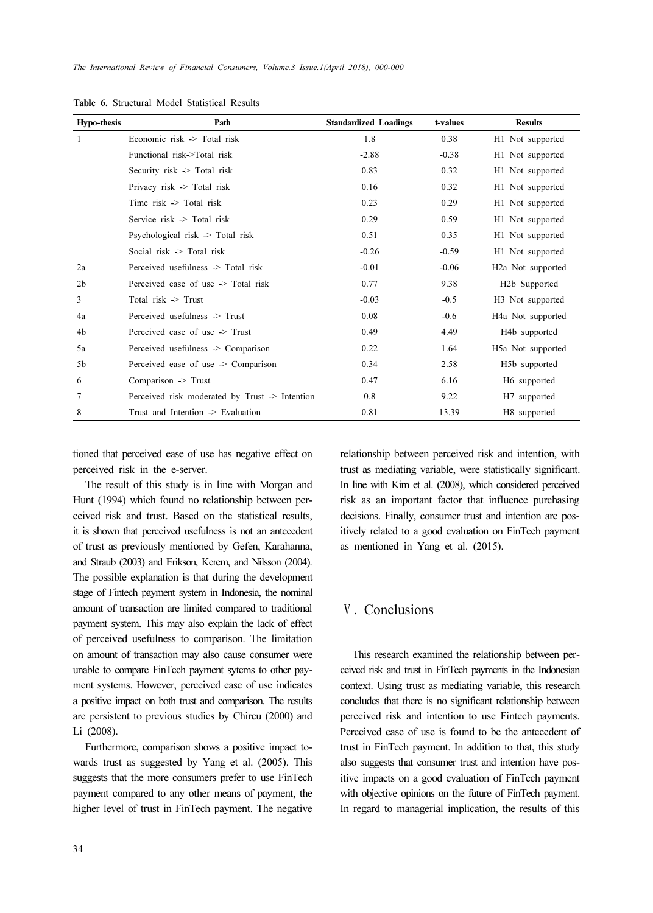| <b>Hypo-thesis</b> | Path                                           | <b>Standardized Loadings</b> | t-values | <b>Results</b>                 |
|--------------------|------------------------------------------------|------------------------------|----------|--------------------------------|
| 1                  | Economic risk -> Total risk                    | 1.8                          | 0.38     | H1 Not supported               |
|                    | Functional risk->Total risk                    | $-2.88$                      | $-0.38$  | H1 Not supported               |
|                    | Security risk -> Total risk                    | 0.83                         | 0.32     | H1 Not supported               |
|                    | Privacy risk -> Total risk                     | 0.16                         | 0.32     | H1 Not supported               |
|                    | Time $risk$ $\geq$ Total risk                  | 0.23                         | 0.29     | H1 Not supported               |
|                    | Service risk $\ge$ Total risk                  | 0.29                         | 0.59     | H1 Not supported               |
|                    | Psychological risk -> Total risk               | 0.51                         | 0.35     | H1 Not supported               |
|                    | Social risk $\geq$ Total risk                  | $-0.26$                      | $-0.59$  | H1 Not supported               |
| 2a                 | Perceived usefulness -> Total risk             | $-0.01$                      | $-0.06$  | H <sub>2</sub> a Not supported |
| 2 <sub>b</sub>     | Perceived ease of use -> Total risk            | 0.77                         | 9.38     | H <sub>2</sub> b Supported     |
| 3                  | Total $risk$ -> Trust                          | $-0.03$                      | $-0.5$   | H <sub>3</sub> Not supported   |
| 4a                 | Perceived usefulness -> Trust                  | 0.08                         | $-0.6$   | H4a Not supported              |
| 4b                 | Perceived ease of use -> Trust                 | 0.49                         | 4.49     | H4b supported                  |
| 5a                 | Perceived usefulness -> Comparison             | 0.22                         | 1.64     | H5a Not supported              |
| 5b                 | Perceived ease of use -> Comparison            | 0.34                         | 2.58     | H5b supported                  |
| 6                  | Comparison -> Trust                            | 0.47                         | 6.16     | H6 supported                   |
| 7                  | Perceived risk moderated by Trust -> Intention | 0.8                          | 9.22     | H7 supported                   |
| 8                  | Trust and Intention -> Evaluation              | 0.81                         | 13.39    | H8 supported                   |

Table 6. Structural Model Statistical Results

tioned that perceived ease of use has negative effect on perceived risk in the e-server.

The result of this study is in line with Morgan and Hunt (1994) which found no relationship between perceived risk and trust. Based on the statistical results, it is shown that perceived usefulness is not an antecedent of trust as previously mentioned by Gefen, Karahanna, and Straub (2003) and Erikson, Kerem, and Nilsson (2004). The possible explanation is that during the development stage of Fintech payment system in Indonesia, the nominal amount of transaction are limited compared to traditional payment system. This may also explain the lack of effect of perceived usefulness to comparison. The limitation on amount of transaction may also cause consumer were unable to compare FinTech payment sytems to other payment systems. However, perceived ease of use indicates a positive impact on both trust and comparison. The results are persistent to previous studies by Chircu (2000) and Li (2008).

Furthermore, comparison shows a positive impact towards trust as suggested by Yang et al. (2005). This suggests that the more consumers prefer to use FinTech payment compared to any other means of payment, the higher level of trust in FinTech payment. The negative relationship between perceived risk and intention, with trust as mediating variable, were statistically significant. In line with Kim et al. (2008), which considered perceived risk as an important factor that influence purchasing decisions. Finally, consumer trust and intention are positively related to a good evaluation on FinTech payment as mentioned in Yang et al. (2015).

### Ⅴ. Conclusions

This research examined the relationship between perceived risk and trust in FinTech payments in the Indonesian context. Using trust as mediating variable, this research concludes that there is no significant relationship between perceived risk and intention to use Fintech payments. Perceived ease of use is found to be the antecedent of trust in FinTech payment. In addition to that, this study also suggests that consumer trust and intention have positive impacts on a good evaluation of FinTech payment with objective opinions on the future of FinTech payment. In regard to managerial implication, the results of this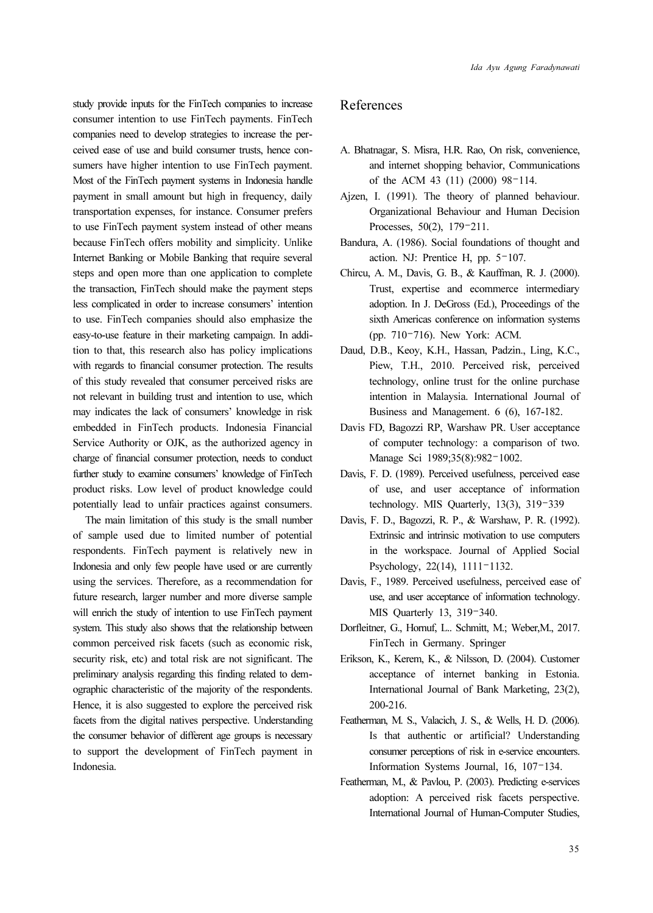study provide inputs for the FinTech companies to increase consumer intention to use FinTech payments. FinTech companies need to develop strategies to increase the perceived ease of use and build consumer trusts, hence consumers have higher intention to use FinTech payment. Most of the FinTech payment systems in Indonesia handle payment in small amount but high in frequency, daily transportation expenses, for instance. Consumer prefers to use FinTech payment system instead of other means because FinTech offers mobility and simplicity. Unlike Internet Banking or Mobile Banking that require several steps and open more than one application to complete the transaction, FinTech should make the payment steps less complicated in order to increase consumers' intention to use. FinTech companies should also emphasize the easy-to-use feature in their marketing campaign. In addition to that, this research also has policy implications with regards to financial consumer protection. The results of this study revealed that consumer perceived risks are not relevant in building trust and intention to use, which may indicates the lack of consumers' knowledge in risk embedded in FinTech products. Indonesia Financial Service Authority or OJK, as the authorized agency in charge of financial consumer protection, needs to conduct further study to examine consumers' knowledge of FinTech product risks. Low level of product knowledge could potentially lead to unfair practices against consumers.

The main limitation of this study is the small number of sample used due to limited number of potential respondents. FinTech payment is relatively new in Indonesia and only few people have used or are currently using the services. Therefore, as a recommendation for future research, larger number and more diverse sample will enrich the study of intention to use FinTech payment system. This study also shows that the relationship between common perceived risk facets (such as economic risk, security risk, etc) and total risk are not significant. The preliminary analysis regarding this finding related to demographic characteristic of the majority of the respondents. Hence, it is also suggested to explore the perceived risk facets from the digital natives perspective. Understanding the consumer behavior of different age groups is necessary to support the development of FinTech payment in Indonesia.

### References

- A. Bhatnagar, S. Misra, H.R. Rao, On risk, convenience, and internet shopping behavior, Communications of the ACM 43 (11) (2000) 98–114.
- Ajzen, I. (1991). The theory of planned behaviour. Organizational Behaviour and Human Decision Processes, 50(2), 179–211.
- Bandura, A. (1986). Social foundations of thought and action. NJ: Prentice H, pp. 5–107.
- Chircu, A. M., Davis, G. B., & Kauffman, R. J. (2000). Trust, expertise and ecommerce intermediary adoption. In J. DeGross (Ed.), Proceedings of the sixth Americas conference on information systems (pp. 710–716). New York: ACM.
- Daud, D.B., Keoy, K.H., Hassan, Padzin., Ling, K.C., Piew, T.H., 2010. Perceived risk, perceived technology, online trust for the online purchase intention in Malaysia. International Journal of Business and Management. 6 (6), 167-182.
- Davis FD, Bagozzi RP, Warshaw PR. User acceptance of computer technology: a comparison of two. Manage Sci 1989;35(8):982–1002.
- Davis, F. D. (1989). Perceived usefulness, perceived ease of use, and user acceptance of information technology. MIS Quarterly, 13(3), 319–339
- Davis, F. D., Bagozzi, R. P., & Warshaw, P. R. (1992). Extrinsic and intrinsic motivation to use computers in the workspace. Journal of Applied Social Psychology, 22(14), 1111–1132.
- Davis, F., 1989. Perceived usefulness, perceived ease of use, and user acceptance of information technology. MIS Quarterly 13, 319–340.
- Dorfleitner, G., Hornuf, L.. Schmitt, M.; Weber,M., 2017. FinTech in Germany. Springer
- Erikson, K., Kerem, K., & Nilsson, D. (2004). Customer acceptance of internet banking in Estonia. International Journal of Bank Marketing, 23(2), 200-216.
- Featherman, M. S., Valacich, J. S., & Wells, H. D. (2006). Is that authentic or artificial? Understanding consumer perceptions of risk in e-service encounters. Information Systems Journal, 16, 107–134.
- Featherman, M., & Pavlou, P. (2003). Predicting e-services adoption: A perceived risk facets perspective. International Journal of Human-Computer Studies,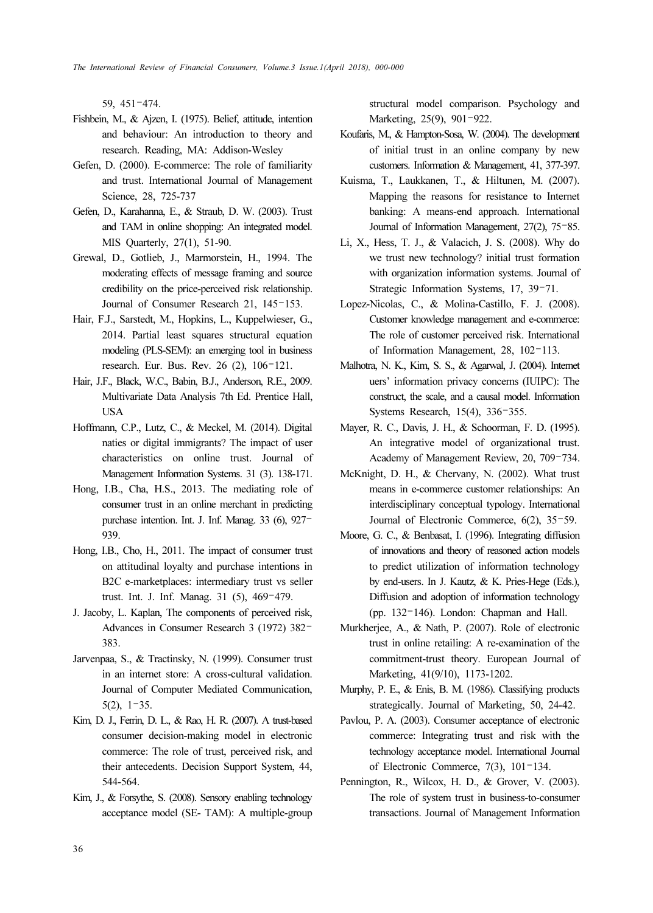59, 451–474.

- Fishbein, M., & Ajzen, I. (1975). Belief, attitude, intention and behaviour: An introduction to theory and research. Reading, MA: Addison-Wesley
- Gefen, D. (2000). E-commerce: The role of familiarity and trust. International Journal of Management Science, 28, 725-737
- Gefen, D., Karahanna, E., & Straub, D. W. (2003). Trust and TAM in online shopping: An integrated model. MIS Quarterly, 27(1), 51-90.
- Grewal, D., Gotlieb, J., Marmorstein, H., 1994. The moderating effects of message framing and source credibility on the price-perceived risk relationship. Journal of Consumer Research 21, 145–153.
- Hair, F.J., Sarstedt, M., Hopkins, L., Kuppelwieser, G., 2014. Partial least squares structural equation modeling (PLS-SEM): an emerging tool in business research. Eur. Bus. Rev. 26 (2), 106–121.
- Hair, J.F., Black, W.C., Babin, B.J., Anderson, R.E., 2009. Multivariate Data Analysis 7th Ed. Prentice Hall, USA
- Hoffmann, C.P., Lutz, C., & Meckel, M. (2014). Digital naties or digital immigrants? The impact of user characteristics on online trust. Journal of Management Information Systems. 31 (3). 138-171.
- Hong, I.B., Cha, H.S., 2013. The mediating role of consumer trust in an online merchant in predicting purchase intention. Int. J. Inf. Manag. 33 (6), 927– 939.
- Hong, I.B., Cho, H., 2011. The impact of consumer trust on attitudinal loyalty and purchase intentions in B2C e-marketplaces: intermediary trust vs seller trust. Int. J. Inf. Manag. 31 (5), 469–479.
- J. Jacoby, L. Kaplan, The components of perceived risk, Advances in Consumer Research 3 (1972) 382– 383.
- Jarvenpaa, S., & Tractinsky, N. (1999). Consumer trust in an internet store: A cross-cultural validation. Journal of Computer Mediated Communication, 5(2), 1–35.
- Kim, D. J., Ferrin, D. L., & Rao, H. R. (2007). A trust-based consumer decision-making model in electronic commerce: The role of trust, perceived risk, and their antecedents. Decision Support System, 44, 544-564.
- Kim, J., & Forsythe, S. (2008). Sensory enabling technology acceptance model (SE- TAM): A multiple-group

structural model comparison. Psychology and Marketing, 25(9), 901–922.

- Koufaris, M., & Hampton-Sosa, W. (2004). The development of initial trust in an online company by new customers. Information & Management, 41, 377-397.
- Kuisma, T., Laukkanen, T., & Hiltunen, M. (2007). Mapping the reasons for resistance to Internet banking: A means-end approach. International Journal of Information Management, 27(2), 75–85.
- Li, X., Hess, T. J., & Valacich, J. S. (2008). Why do we trust new technology? initial trust formation with organization information systems. Journal of Strategic Information Systems, 17, 39–71.
- Lopez-Nicolas, C., & Molina-Castillo, F. J. (2008). Customer knowledge management and e-commerce: The role of customer perceived risk. International of Information Management, 28, 102–113.
- Malhotra, N. K., Kim, S. S., & Agarwal, J. (2004). Internet uers' information privacy concerns (IUIPC): The construct, the scale, and a causal model. Information Systems Research, 15(4), 336–355.
- Mayer, R. C., Davis, J. H., & Schoorman, F. D. (1995). An integrative model of organizational trust. Academy of Management Review, 20, 709–734.
- McKnight, D. H., & Chervany, N. (2002). What trust means in e-commerce customer relationships: An interdisciplinary conceptual typology. International Journal of Electronic Commerce, 6(2), 35–59.
- Moore, G. C., & Benbasat, I. (1996). Integrating diffusion of innovations and theory of reasoned action models to predict utilization of information technology by end-users. In J. Kautz, & K. Pries-Hege (Eds.), Diffusion and adoption of information technology (pp. 132–146). London: Chapman and Hall.
- Murkherjee, A., & Nath, P. (2007). Role of electronic trust in online retailing: A re-examination of the commitment-trust theory. European Journal of Marketing, 41(9/10), 1173-1202.
- Murphy, P. E., & Enis, B. M. (1986). Classifying products strategically. Journal of Marketing, 50, 24-42.
- Pavlou, P. A. (2003). Consumer acceptance of electronic commerce: Integrating trust and risk with the technology acceptance model. International Journal of Electronic Commerce, 7(3), 101–134.
- Pennington, R., Wilcox, H. D., & Grover, V. (2003). The role of system trust in business-to-consumer transactions. Journal of Management Information